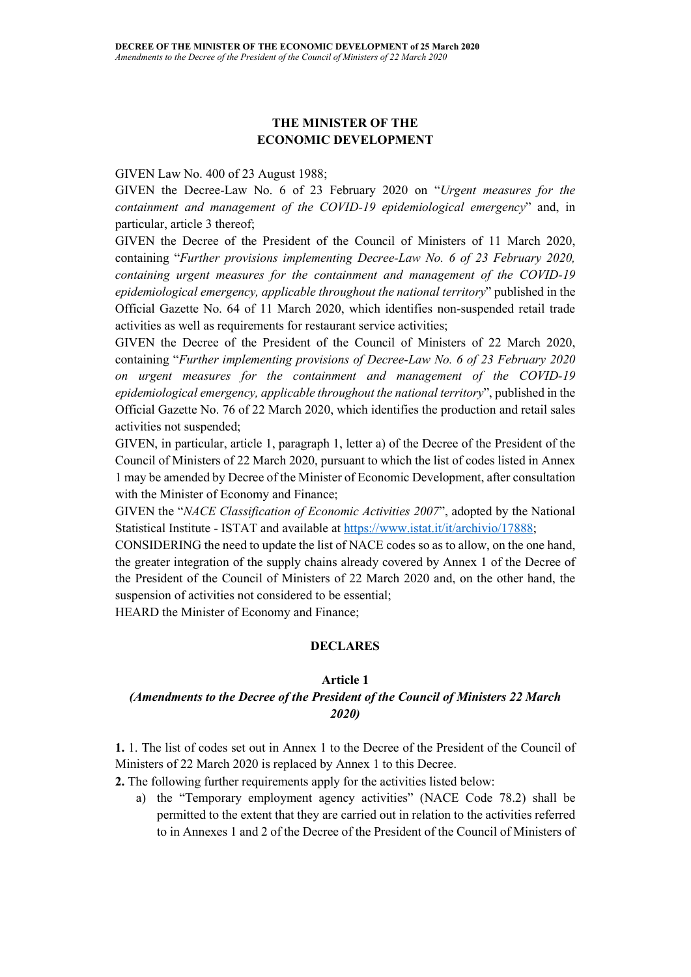## THE MINISTER OF THE ECONOMIC DEVELOPMENT

#### GIVEN Law No. 400 of 23 August 1988;

GIVEN the Decree-Law No. 6 of 23 February 2020 on "Urgent measures for the containment and management of the COVID-19 epidemiological emergency" and, in particular, article 3 thereof;

GIVEN the Decree of the President of the Council of Ministers of 11 March 2020, containing "Further provisions implementing Decree-Law No. 6 of 23 February 2020, containing urgent measures for the containment and management of the COVID-19 epidemiological emergency, applicable throughout the national territory" published in the Official Gazette No. 64 of 11 March 2020, which identifies non-suspended retail trade activities as well as requirements for restaurant service activities;

GIVEN the Decree of the President of the Council of Ministers of 22 March 2020, containing "Further implementing provisions of Decree-Law No. 6 of 23 February 2020 on urgent measures for the containment and management of the COVID-19 epidemiological emergency, applicable throughout the national territory", published in the Official Gazette No. 76 of 22 March 2020, which identifies the production and retail sales activities not suspended;

GIVEN, in particular, article 1, paragraph 1, letter a) of the Decree of the President of the Council of Ministers of 22 March 2020, pursuant to which the list of codes listed in Annex 1 may be amended by Decree of the Minister of Economic Development, after consultation with the Minister of Economy and Finance;

GIVEN the "NACE Classification of Economic Activities 2007", adopted by the National Statistical Institute - ISTAT and available at https://www.istat.it/it/archivio/17888;

CONSIDERING the need to update the list of NACE codes so as to allow, on the one hand, the greater integration of the supply chains already covered by Annex 1 of the Decree of the President of the Council of Ministers of 22 March 2020 and, on the other hand, the suspension of activities not considered to be essential;

HEARD the Minister of Economy and Finance;

#### DECLARES

#### Article 1

### (Amendments to the Decree of the President of the Council of Ministers 22 March 2020)

1. 1. The list of codes set out in Annex 1 to the Decree of the President of the Council of Ministers of 22 March 2020 is replaced by Annex 1 to this Decree.

2. The following further requirements apply for the activities listed below:

a) the "Temporary employment agency activities" (NACE Code 78.2) shall be permitted to the extent that they are carried out in relation to the activities referred to in Annexes 1 and 2 of the Decree of the President of the Council of Ministers of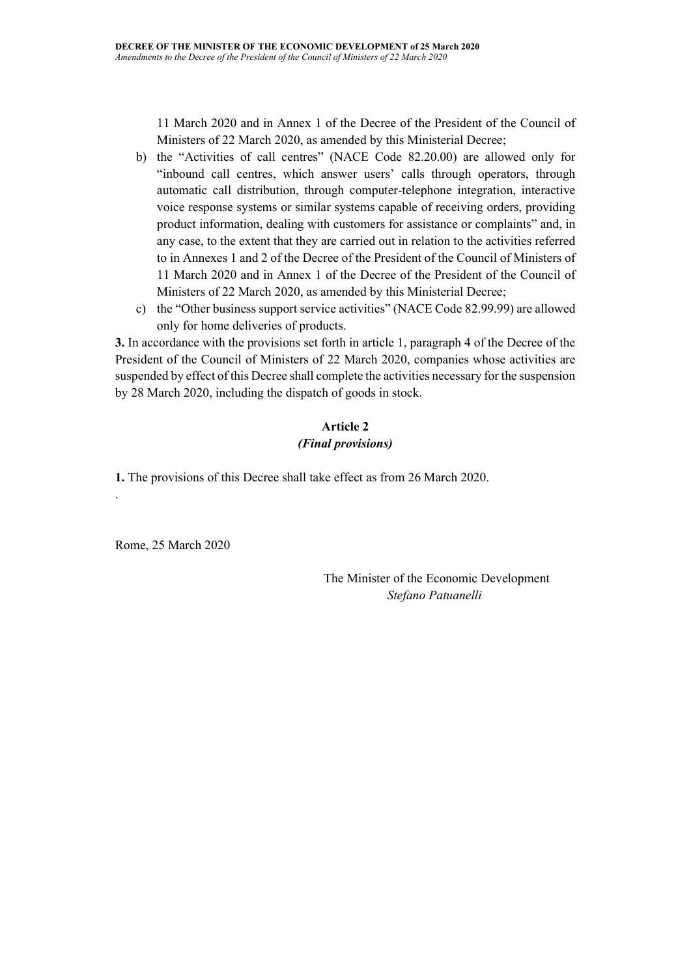11 March 2020 and in Annex 1 of the Decree of the President of the Council of Ministers of 22 March 2020, as amended by this Ministerial Decree;

- b) the "Activities of call centres" (NACE Code 82.20.00) are allowed only for "inbound call centres, which answer users' calls through operators, through automatic call distribution, through computer-telephone integration, interactive voice response systems or similar systems capable of receiving orders, providing product information, dealing with customers for assistance or complaints" and, in any case, to the extent that they are carried out in relation to the activities referred to in Annexes 1 and 2 of the Decree of the President of the Council of Ministers of 11 March 2020 and in Annex 1 of the Decree of the President of the Council of Ministers of 22 March 2020, as amended by this Ministerial Decree;
- c) the "Other business support service activities" (NACE Code 82.99.99) are allowed only for home deliveries of products.

3. In accordance with the provisions set forth in article 1, paragraph 4 of the Decree of the President of the Council of Ministers of 22 March 2020, companies whose activities are suspended by effect of this Decree shall complete the activities necessary for the suspension by 28 March 2020, including the dispatch of goods in stock.

# Article 2 (Final provisions)

1. The provisions of this Decree shall take effect as from 26 March 2020.

Rome, 25 March 2020

.

 The Minister of the Economic Development Stefano Patuanelli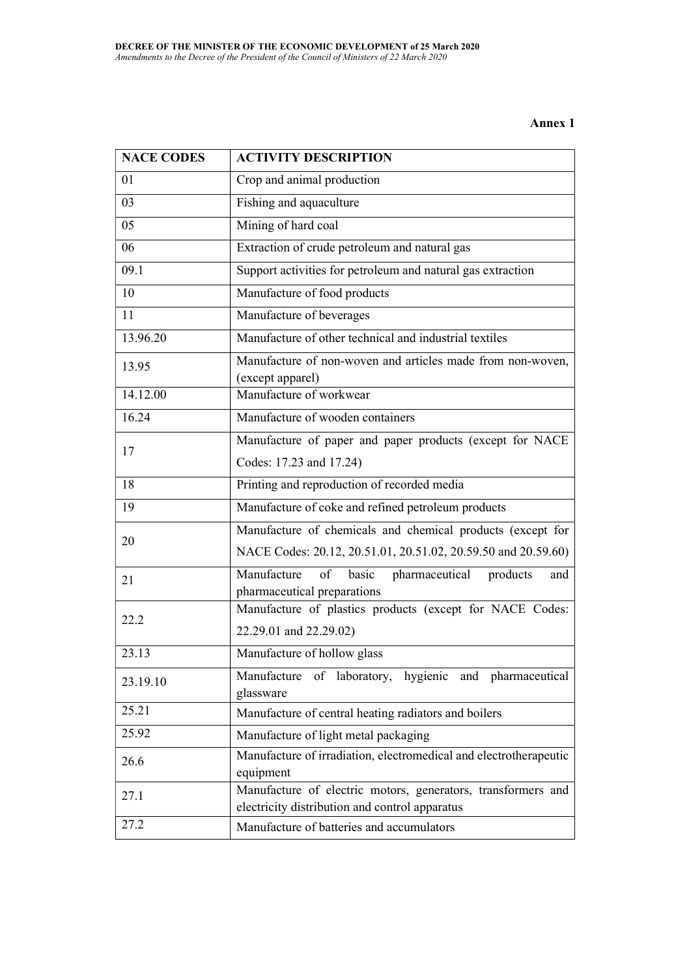### Annex 1

| <b>NACE CODES</b> | <b>ACTIVITY DESCRIPTION</b>                                                                    |
|-------------------|------------------------------------------------------------------------------------------------|
| 01                | Crop and animal production                                                                     |
| 03                | Fishing and aquaculture                                                                        |
| 05                | Mining of hard coal                                                                            |
| 06                | Extraction of crude petroleum and natural gas                                                  |
| 09.1              | Support activities for petroleum and natural gas extraction                                    |
| 10                | Manufacture of food products                                                                   |
| 11                | Manufacture of beverages                                                                       |
| 13.96.20          | Manufacture of other technical and industrial textiles                                         |
| 13.95             | Manufacture of non-woven and articles made from non-woven,<br>(except apparel)                 |
| 14.12.00          | Manufacture of workwear                                                                        |
| 16.24             | Manufacture of wooden containers                                                               |
| 17                | Manufacture of paper and paper products (except for NACE                                       |
|                   | Codes: 17.23 and 17.24)                                                                        |
| 18                | Printing and reproduction of recorded media                                                    |
| 19                | Manufacture of coke and refined petroleum products                                             |
| 20                | Manufacture of chemicals and chemical products (except for                                     |
|                   | NACE Codes: 20.12, 20.51.01, 20.51.02, 20.59.50 and 20.59.60)                                  |
| 21                | pharmaceutical<br>Manufacture<br>basic<br>of<br>products<br>and<br>pharmaceutical preparations |
| 22.2              | Manufacture of plastics products (except for NACE Codes:                                       |
|                   | 22.29.01 and 22.29.02)                                                                         |
| 23.13             | Manufacture of hollow glass                                                                    |
| 23.19.10          | Manufacture of laboratory, hygienic and pharmaceutical<br>glassware                            |
| 25.21             | Manufacture of central heating radiators and boilers                                           |
| 25.92             | Manufacture of light metal packaging                                                           |
| 26.6              | Manufacture of irradiation, electromedical and electrotherapeutic<br>equipment                 |
| 27.1              | Manufacture of electric motors, generators, transformers and                                   |
|                   | electricity distribution and control apparatus                                                 |
| 27.2              | Manufacture of batteries and accumulators                                                      |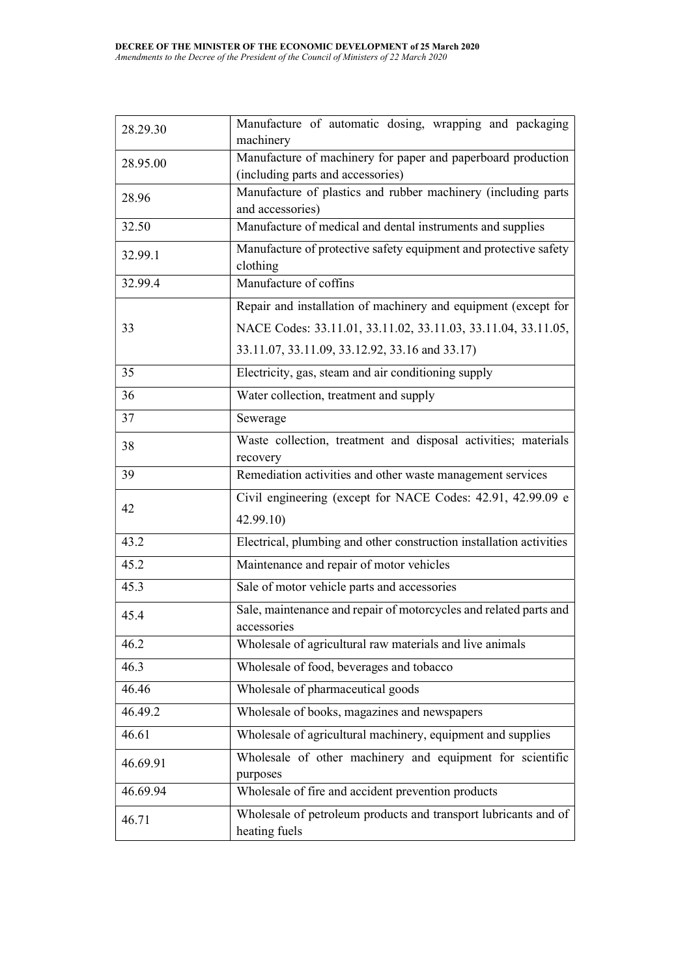| 28.29.30 | Manufacture of automatic dosing, wrapping and packaging<br>machinery                              |
|----------|---------------------------------------------------------------------------------------------------|
| 28.95.00 | Manufacture of machinery for paper and paperboard production<br>(including parts and accessories) |
| 28.96    | Manufacture of plastics and rubber machinery (including parts<br>and accessories)                 |
| 32.50    | Manufacture of medical and dental instruments and supplies                                        |
| 32.99.1  | Manufacture of protective safety equipment and protective safety<br>clothing                      |
| 32.99.4  | Manufacture of coffins                                                                            |
|          | Repair and installation of machinery and equipment (except for                                    |
| 33       | NACE Codes: 33.11.01, 33.11.02, 33.11.03, 33.11.04, 33.11.05,                                     |
|          | 33.11.07, 33.11.09, 33.12.92, 33.16 and 33.17)                                                    |
| 35       | Electricity, gas, steam and air conditioning supply                                               |
| 36       | Water collection, treatment and supply                                                            |
| 37       | Sewerage                                                                                          |
| 38       | Waste collection, treatment and disposal activities; materials<br>recovery                        |
| 39       | Remediation activities and other waste management services                                        |
| 42       | Civil engineering (except for NACE Codes: 42.91, 42.99.09 e                                       |
|          | 42.99.10)                                                                                         |
| 43.2     | Electrical, plumbing and other construction installation activities                               |
| 45.2     | Maintenance and repair of motor vehicles                                                          |
| 45.3     | Sale of motor vehicle parts and accessories                                                       |
| 45.4     | Sale, maintenance and repair of motorcycles and related parts and<br>accessories                  |
| 46.2     | Wholesale of agricultural raw materials and live animals                                          |
| 46.3     | Wholesale of food, beverages and tobacco                                                          |
| 46.46    | Wholesale of pharmaceutical goods                                                                 |
| 46.49.2  | Wholesale of books, magazines and newspapers                                                      |
| 46.61    | Wholesale of agricultural machinery, equipment and supplies                                       |
| 46.69.91 | Wholesale of other machinery and equipment for scientific<br>purposes                             |
| 46.69.94 | Wholesale of fire and accident prevention products                                                |
| 46.71    | Wholesale of petroleum products and transport lubricants and of<br>heating fuels                  |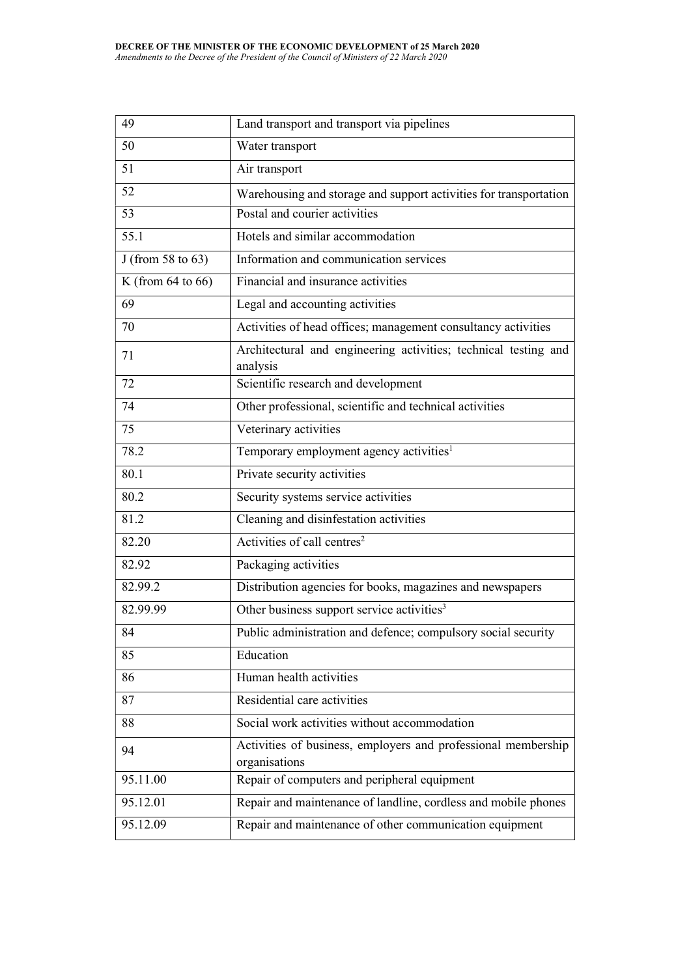| 49                     | Land transport and transport via pipelines                                     |
|------------------------|--------------------------------------------------------------------------------|
| 50                     | Water transport                                                                |
| 51                     | Air transport                                                                  |
| 52                     | Warehousing and storage and support activities for transportation              |
| 53                     | Postal and courier activities                                                  |
| 55.1                   | Hotels and similar accommodation                                               |
| J (from 58 to 63)      | Information and communication services                                         |
| K (from $64$ to $66$ ) | Financial and insurance activities                                             |
| 69                     | Legal and accounting activities                                                |
| 70                     | Activities of head offices; management consultancy activities                  |
| 71                     | Architectural and engineering activities; technical testing and<br>analysis    |
| 72                     | Scientific research and development                                            |
| 74                     | Other professional, scientific and technical activities                        |
| 75                     | Veterinary activities                                                          |
| 78.2                   | Temporary employment agency activities <sup>1</sup>                            |
| 80.1                   | Private security activities                                                    |
| 80.2                   | Security systems service activities                                            |
| 81.2                   | Cleaning and disinfestation activities                                         |
| 82.20                  | Activities of call centres <sup>2</sup>                                        |
| 82.92                  | Packaging activities                                                           |
| 82.99.2                | Distribution agencies for books, magazines and newspapers                      |
| 82.99.99               | Other business support service activities <sup>3</sup>                         |
| 84                     | Public administration and defence; compulsory social security                  |
| 85                     | Education                                                                      |
| 86                     | Human health activities                                                        |
| 87                     | Residential care activities                                                    |
| 88                     | Social work activities without accommodation                                   |
| 94                     | Activities of business, employers and professional membership<br>organisations |
| 95.11.00               | Repair of computers and peripheral equipment                                   |
| 95.12.01               | Repair and maintenance of landline, cordless and mobile phones                 |
| 95.12.09               | Repair and maintenance of other communication equipment                        |